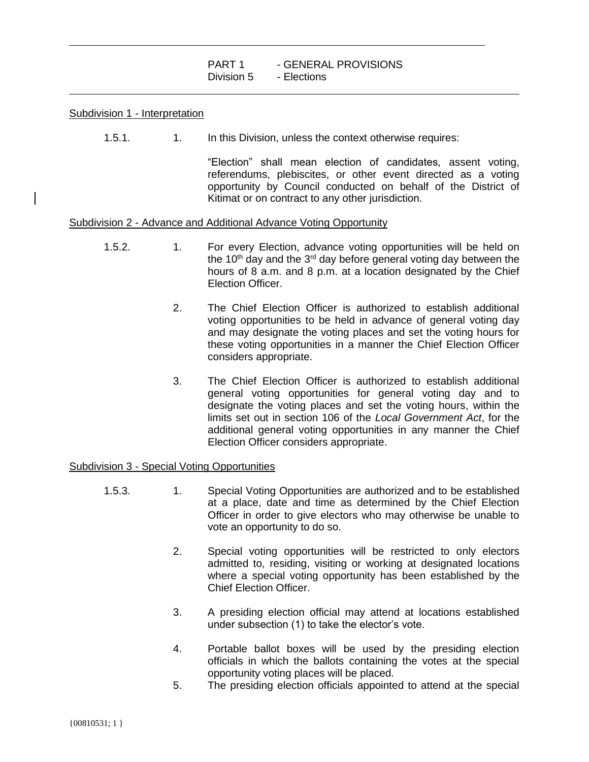# Subdivision 1 - Interpretation

 $\overline{a}$ 

 $\overline{a}$ 

1.5.1. 1. In this Division, unless the context otherwise requires:

"Election" shall mean election of candidates, assent voting, referendums, plebiscites, or other event directed as a voting opportunity by Council conducted on behalf of the District of Kitimat or on contract to any other jurisdiction.

# Subdivision 2 - Advance and Additional Advance Voting Opportunity

- 1.5.2. 1. For every Election, advance voting opportunities will be held on the 10<sup>th</sup> day and the 3<sup>rd</sup> day before general voting day between the hours of 8 a.m. and 8 p.m. at a location designated by the Chief Election Officer.
	- 2. The Chief Election Officer is authorized to establish additional voting opportunities to be held in advance of general voting day and may designate the voting places and set the voting hours for these voting opportunities in a manner the Chief Election Officer considers appropriate.
	- 3. The Chief Election Officer is authorized to establish additional general voting opportunities for general voting day and to designate the voting places and set the voting hours, within the limits set out in section 106 of the *Local Government Act*, for the additional general voting opportunities in any manner the Chief Election Officer considers appropriate.

# Subdivision 3 - Special Voting Opportunities

- 1.5.3. 1. Special Voting Opportunities are authorized and to be established at a place, date and time as determined by the Chief Election Officer in order to give electors who may otherwise be unable to vote an opportunity to do so.
	- 2. Special voting opportunities will be restricted to only electors admitted to, residing, visiting or working at designated locations where a special voting opportunity has been established by the Chief Election Officer.
	- 3. A presiding election official may attend at locations established under subsection (1) to take the elector's vote.
	- 4. Portable ballot boxes will be used by the presiding election officials in which the ballots containing the votes at the special opportunity voting places will be placed.
	- 5. The presiding election officials appointed to attend at the special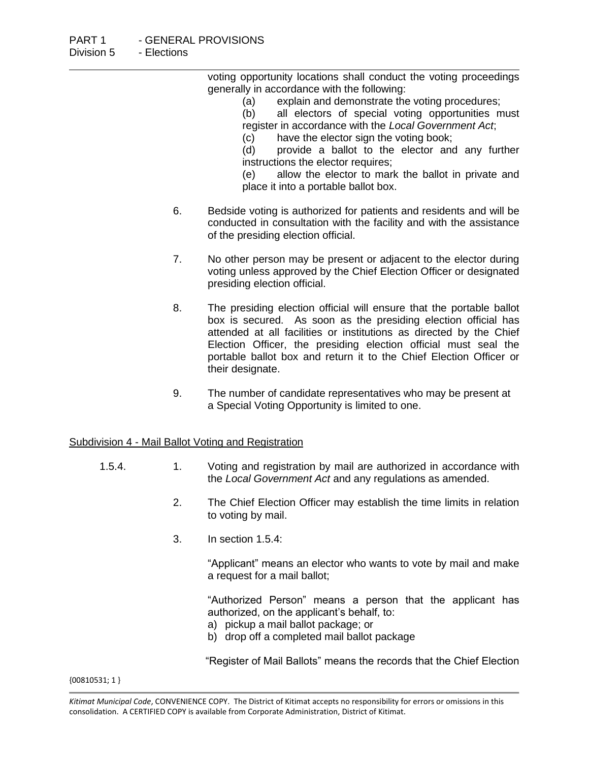voting opportunity locations shall conduct the voting proceedings generally in accordance with the following:

(a) explain and demonstrate the voting procedures;

(b) all electors of special voting opportunities must register in accordance with the *Local Government Act*;

(c) have the elector sign the voting book;

(d) provide a ballot to the elector and any further instructions the elector requires;

(e) allow the elector to mark the ballot in private and place it into a portable ballot box.

- 6. Bedside voting is authorized for patients and residents and will be conducted in consultation with the facility and with the assistance of the presiding election official.
- 7. No other person may be present or adjacent to the elector during voting unless approved by the Chief Election Officer or designated presiding election official.
- 8. The presiding election official will ensure that the portable ballot box is secured. As soon as the presiding election official has attended at all facilities or institutions as directed by the Chief Election Officer, the presiding election official must seal the portable ballot box and return it to the Chief Election Officer or their designate.
- 9. The number of candidate representatives who may be present at a Special Voting Opportunity is limited to one.

# Subdivision 4 - Mail Ballot Voting and Registration

- 1.5.4. 1. Voting and registration by mail are authorized in accordance with the *Local Government Act* and any regulations as amended.
	- 2. The Chief Election Officer may establish the time limits in relation to voting by mail.
	- 3. In section 1.5.4:

"Applicant" means an elector who wants to vote by mail and make a request for a mail ballot;

"Authorized Person" means a person that the applicant has authorized, on the applicant's behalf, to:

- a) pickup a mail ballot package; or
- b) drop off a completed mail ballot package

"Register of Mail Ballots" means the records that the Chief Election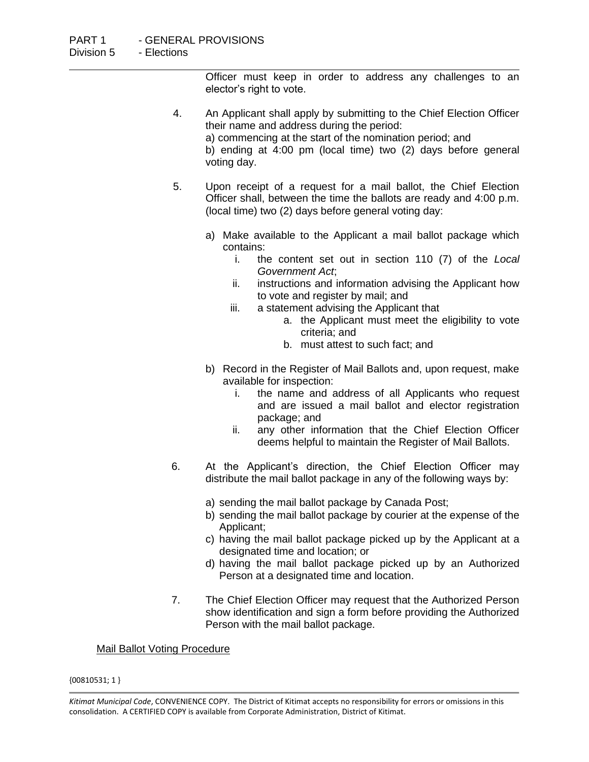Officer must keep in order to address any challenges to an elector's right to vote.

- 4. An Applicant shall apply by submitting to the Chief Election Officer their name and address during the period: a) commencing at the start of the nomination period; and b) ending at 4:00 pm (local time) two (2) days before general voting day.
- 5. Upon receipt of a request for a mail ballot, the Chief Election Officer shall, between the time the ballots are ready and 4:00 p.m. (local time) two (2) days before general voting day:
	- a) Make available to the Applicant a mail ballot package which contains:
		- i. the content set out in section 110 (7) of the *Local Government Act*;
		- ii. instructions and information advising the Applicant how to vote and register by mail; and
		- iii. a statement advising the Applicant that
			- a. the Applicant must meet the eligibility to vote criteria; and
			- b. must attest to such fact; and
	- b) Record in the Register of Mail Ballots and, upon request, make available for inspection:
		- i. the name and address of all Applicants who request and are issued a mail ballot and elector registration package; and
		- ii. any other information that the Chief Election Officer deems helpful to maintain the Register of Mail Ballots.
- 6. At the Applicant's direction, the Chief Election Officer may distribute the mail ballot package in any of the following ways by:
	- a) sending the mail ballot package by Canada Post;
	- b) sending the mail ballot package by courier at the expense of the Applicant;
	- c) having the mail ballot package picked up by the Applicant at a designated time and location; or
	- d) having the mail ballot package picked up by an Authorized Person at a designated time and location.
- 7. The Chief Election Officer may request that the Authorized Person show identification and sign a form before providing the Authorized Person with the mail ballot package.

# Mail Ballot Voting Procedure

*Kitimat Municipal Code*, CONVENIENCE COPY. The District of Kitimat accepts no responsibility for errors or omissions in this consolidation. A CERTIFIED COPY is available from Corporate Administration, District of Kitimat.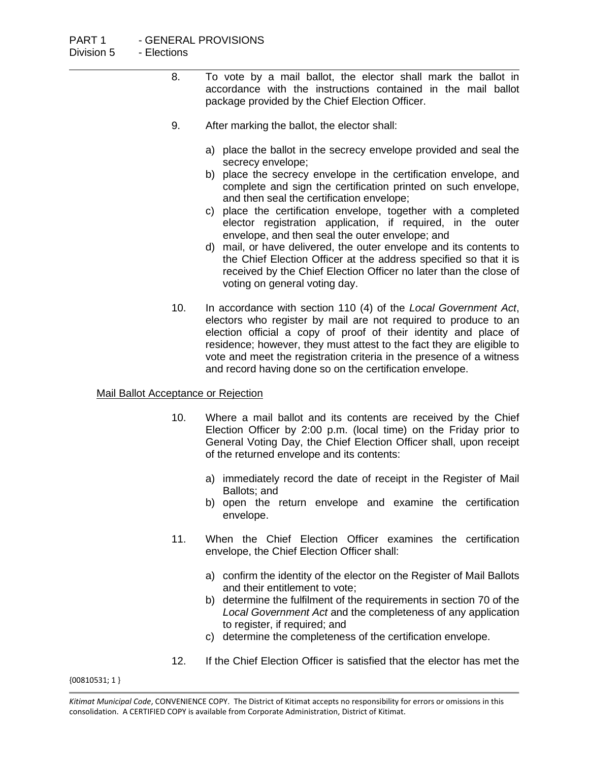- 8. To vote by a mail ballot, the elector shall mark the ballot in accordance with the instructions contained in the mail ballot package provided by the Chief Election Officer.
- 9. After marking the ballot, the elector shall:
	- a) place the ballot in the secrecy envelope provided and seal the secrecy envelope;
	- b) place the secrecy envelope in the certification envelope, and complete and sign the certification printed on such envelope, and then seal the certification envelope;
	- c) place the certification envelope, together with a completed elector registration application, if required, in the outer envelope, and then seal the outer envelope; and
	- d) mail, or have delivered, the outer envelope and its contents to the Chief Election Officer at the address specified so that it is received by the Chief Election Officer no later than the close of voting on general voting day.
- 10. In accordance with section 110 (4) of the *Local Government Act*, electors who register by mail are not required to produce to an election official a copy of proof of their identity and place of residence; however, they must attest to the fact they are eligible to vote and meet the registration criteria in the presence of a witness and record having done so on the certification envelope.

# Mail Ballot Acceptance or Rejection

- 10. Where a mail ballot and its contents are received by the Chief Election Officer by 2:00 p.m. (local time) on the Friday prior to General Voting Day, the Chief Election Officer shall, upon receipt of the returned envelope and its contents:
	- a) immediately record the date of receipt in the Register of Mail Ballots; and
	- b) open the return envelope and examine the certification envelope.
- 11. When the Chief Election Officer examines the certification envelope, the Chief Election Officer shall:
	- a) confirm the identity of the elector on the Register of Mail Ballots and their entitlement to vote;
	- b) determine the fulfilment of the requirements in section 70 of the *Local Government Act* and the completeness of any application to register, if required; and
	- c) determine the completeness of the certification envelope.
- 12. If the Chief Election Officer is satisfied that the elector has met the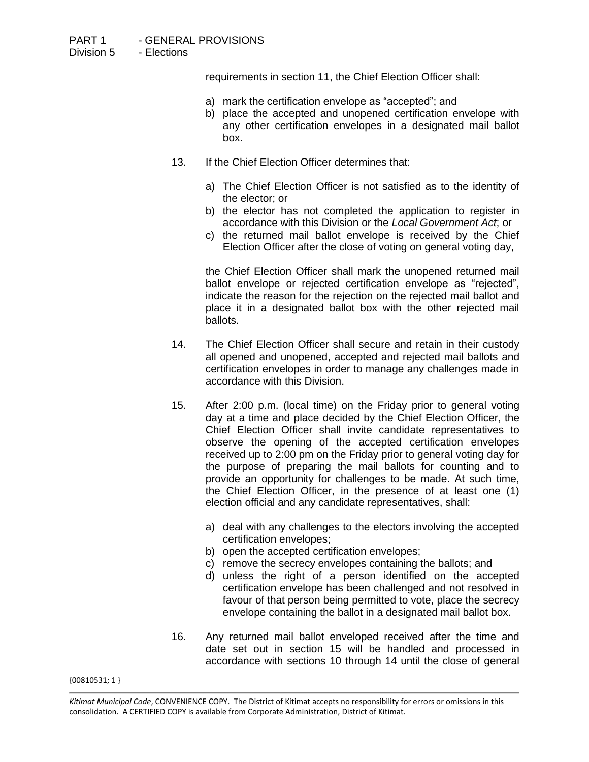requirements in section 11, the Chief Election Officer shall:

- a) mark the certification envelope as "accepted"; and
- b) place the accepted and unopened certification envelope with any other certification envelopes in a designated mail ballot box.
- 13. If the Chief Election Officer determines that:
	- a) The Chief Election Officer is not satisfied as to the identity of the elector; or
	- b) the elector has not completed the application to register in accordance with this Division or the *Local Government Act*; or
	- c) the returned mail ballot envelope is received by the Chief Election Officer after the close of voting on general voting day,

the Chief Election Officer shall mark the unopened returned mail ballot envelope or rejected certification envelope as "rejected", indicate the reason for the rejection on the rejected mail ballot and place it in a designated ballot box with the other rejected mail ballots.

- 14. The Chief Election Officer shall secure and retain in their custody all opened and unopened, accepted and rejected mail ballots and certification envelopes in order to manage any challenges made in accordance with this Division.
- 15. After 2:00 p.m. (local time) on the Friday prior to general voting day at a time and place decided by the Chief Election Officer, the Chief Election Officer shall invite candidate representatives to observe the opening of the accepted certification envelopes received up to 2:00 pm on the Friday prior to general voting day for the purpose of preparing the mail ballots for counting and to provide an opportunity for challenges to be made. At such time, the Chief Election Officer, in the presence of at least one (1) election official and any candidate representatives, shall:
	- a) deal with any challenges to the electors involving the accepted certification envelopes;
	- b) open the accepted certification envelopes;
	- c) remove the secrecy envelopes containing the ballots; and
	- d) unless the right of a person identified on the accepted certification envelope has been challenged and not resolved in favour of that person being permitted to vote, place the secrecy envelope containing the ballot in a designated mail ballot box.
- 16. Any returned mail ballot enveloped received after the time and date set out in section 15 will be handled and processed in accordance with sections 10 through 14 until the close of general

*Kitimat Municipal Code*, CONVENIENCE COPY. The District of Kitimat accepts no responsibility for errors or omissions in this consolidation. A CERTIFIED COPY is available from Corporate Administration, District of Kitimat.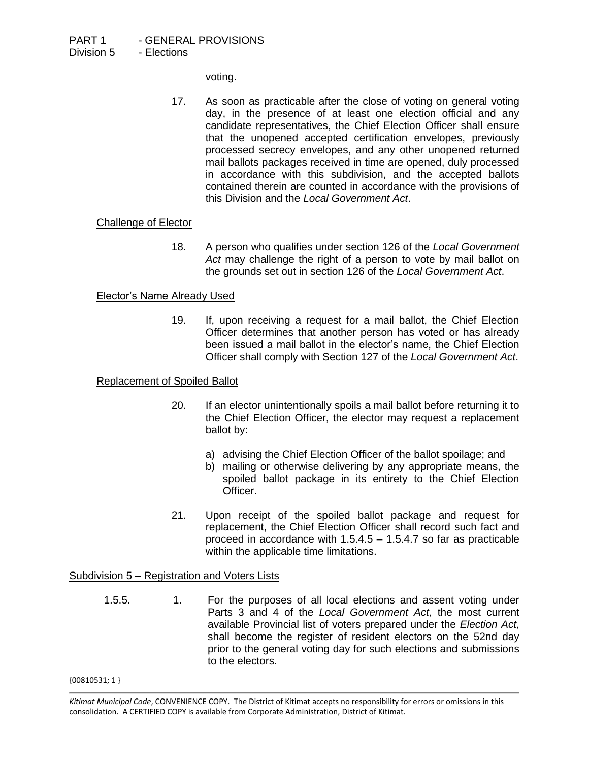voting.

17. As soon as practicable after the close of voting on general voting day, in the presence of at least one election official and any candidate representatives, the Chief Election Officer shall ensure that the unopened accepted certification envelopes, previously processed secrecy envelopes, and any other unopened returned mail ballots packages received in time are opened, duly processed in accordance with this subdivision, and the accepted ballots contained therein are counted in accordance with the provisions of this Division and the *Local Government Act*.

### Challenge of Elector

18. A person who qualifies under section 126 of the *Local Government Act* may challenge the right of a person to vote by mail ballot on the grounds set out in section 126 of the *Local Government Act*.

### Elector's Name Already Used

19. If, upon receiving a request for a mail ballot, the Chief Election Officer determines that another person has voted or has already been issued a mail ballot in the elector's name, the Chief Election Officer shall comply with Section 127 of the *Local Government Act*.

# Replacement of Spoiled Ballot

- 20. If an elector unintentionally spoils a mail ballot before returning it to the Chief Election Officer, the elector may request a replacement ballot by:
	- a) advising the Chief Election Officer of the ballot spoilage; and
	- b) mailing or otherwise delivering by any appropriate means, the spoiled ballot package in its entirety to the Chief Election Officer.
- 21. Upon receipt of the spoiled ballot package and request for replacement, the Chief Election Officer shall record such fact and proceed in accordance with 1.5.4.5 – 1.5.4.7 so far as practicable within the applicable time limitations.

#### Subdivision 5 – Registration and Voters Lists

1.5.5. 1. For the purposes of all local elections and assent voting under Parts 3 and 4 of the *Local Government Act*, the most current available Provincial list of voters prepared under the *Election Act*, shall become the register of resident electors on the 52nd day prior to the general voting day for such elections and submissions to the electors.

*Kitimat Municipal Code*, CONVENIENCE COPY. The District of Kitimat accepts no responsibility for errors or omissions in this consolidation. A CERTIFIED COPY is available from Corporate Administration, District of Kitimat.